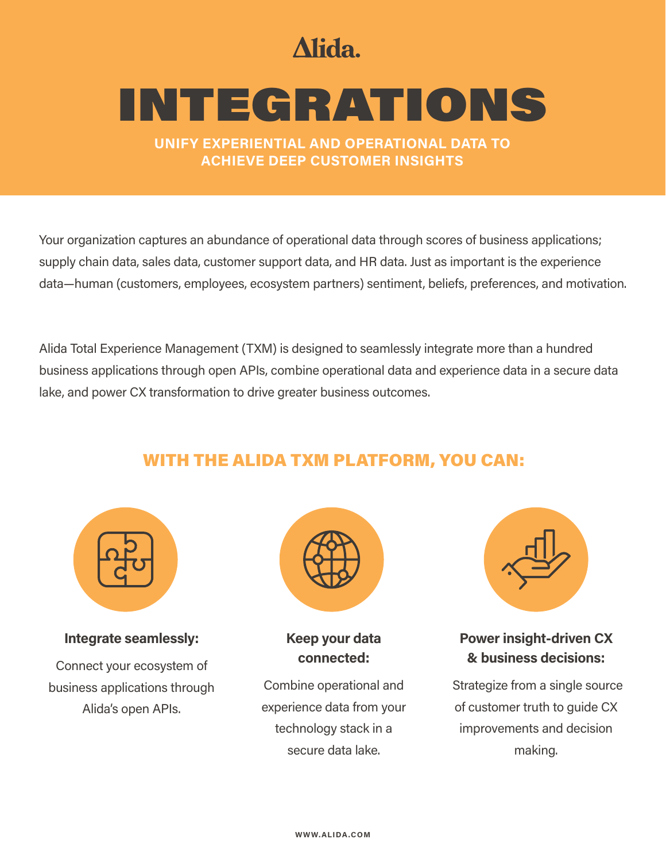# Alida.

# INTEGRATIONS

**UNIFY EXPERIENTIAL AND OPERATIONAL DATA TO ACHIEVE DEEP CUSTOMER INSIGHTS**

Your organization captures an abundance of operational data through scores of business applications; supply chain data, sales data, customer support data, and HR data. Just as important is the experience data—human (customers, employees, ecosystem partners) sentiment, beliefs, preferences, and motivation.

Alida Total Experience Management (TXM) is designed to seamlessly integrate more than a hundred business applications through open APIs, combine operational data and experience data in a secure data lake, and power CX transformation to drive greater business outcomes.

### WITH THE ALIDA TXM PLATFORM, YOU CAN:



#### **Integrate seamlessly:**

Connect your ecosystem of business applications through Alida's open APIs.



**Keep your data connected:** 

Combine operational and experience data from your technology stack in a secure data lake.



**Power insight-driven CX & business decisions:** 

Strategize from a single source of customer truth to guide CX improvements and decision making.